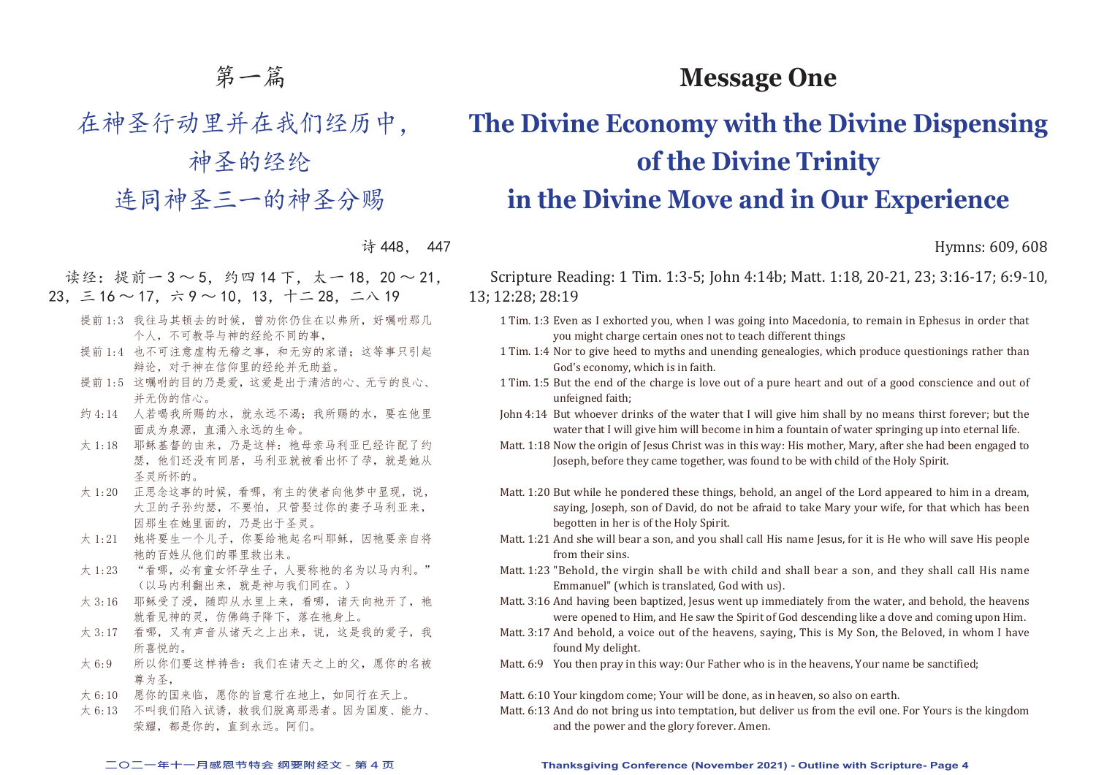# 第一篇

在神圣行动里并在我们经历中,

神圣的经纶 连同神圣三一的神圣分赐

### 诗 448, 447

读经: 提前一 3 ~ 5, 约四 14 下, 太一 18, 20 ~ 21, 23,三 16 ~ 17,六 9 ~ 10,13,十二 28,二八 19

- 提前 1:3 我往马其顿去的时候, 曾劝你仍住在以弗所, 好嘱咐那几 个人,不可教导与神的经纶不同的事,
- 提前 1:4 也不可注意虚构无稽之事, 和无穷的家谱; 这等事只引起 辩论,对于神在信仰里的经纶并无助益。
- 提前 1:5 这嘱咐的目的乃是爱,这爱是出于清洁的心、无亏的良心、 并无伪的信心。
- 约 4:14 人若喝我所赐的水,就永远不渴;我所赐的水,要在他里 面成为泉源,直涌入永远的生命。
- 太 1:18 耶稣基督的由来, 乃是这样: 祂母亲马利亚已经许配了约 瑟,他们还没有同居,马利亚就被看出怀了孕,就是她从 圣灵所怀的。
- 太 1:20 正思念这事的时候,看哪,有主的使者向他梦中显现,说, 大卫的子孙约瑟,不要怕,只管娶过你的妻子马利亚来, 因那生在她里面的,乃是出于圣灵。
- 太 1:21 她将要生一个儿子, 你要给祂起名叫耶稣, 因祂要亲自将 祂的百姓从他们的罪里救出来。
- 太 1:23 "看哪,必有童女怀孕生子,人要称祂的名为以马内利。" (以马内利翻出来,就是神与我们同在。)
- 太 3:16 耶稣受了浸, 随即从水里上来, 看哪, 诸天向祂开了, 祂 就看见神的灵,仿佛鸽子降下,落在祂身上。
- 太 3:17 看哪,又有声音从诸天之上出来,说,这是我的爱子,我 所喜悦的。
- 太 6:9 所以你们要这样祷告:我们在诸天之上的父,愿你的名被 尊为圣,
- 太 6:10 愿你的国来临,愿你的旨意行在地上,如同行在天上。
- 太 6:13 不叫我们陷入试诱,救我们脱离那恶者。因为国度、能力、 荣耀,都是你的,直到永远。阿们。

# **The Divine Economy with the Divine Dispensing of the Divine Trinity in the Divine Move and in Our Experience**

**Message One**

Hymns: 609, 608

Scripture Reading: 1 Tim. 1:3-5; John 4:14b; Matt. 1:18, 20-21, 23; 3:16-17; 6:9-10, 13; 12:28; 28:19

- 1 Tim. 1:3 Even as I exhorted you, when I was going into Macedonia, to remain in Ephesus in order that you might charge certain ones not to teach different things
- 1 Tim. 1:4 Nor to give heed to myths and unending genealogies, which produce questionings rather than God's economy, which is in faith.
- 1 Tim. 1:5 But the end of the charge is love out of a pure heart and out of a good conscience and out of unfeigned faith;

John 4:14 But whoever drinks of the water that I will give him shall by no means thirst forever; but the water that I will give him will become in him a fountain of water springing up into eternal life.

- Matt. 1:18 Now the origin of Jesus Christ was in this way: His mother, Mary, after she had been engaged to Joseph, before they came together, was found to be with child of the Holy Spirit.
- Matt. 1:20 But while he pondered these things, behold, an angel of the Lord appeared to him in a dream, saying, Joseph, son of David, do not be afraid to take Mary your wife, for that which has been begotten in her is of the Holy Spirit.
- Matt. 1:21 And she will bear a son, and you shall call His name Jesus, for it is He who will save His people from their sins.
- Matt. 1:23 "Behold, the virgin shall be with child and shall bear a son, and they shall call His name Emmanuel" (which is translated, God with us).
- Matt. 3:16 And having been baptized, Jesus went up immediately from the water, and behold, the heavens were opened to Him, and He saw the Spirit of God descending like a dove and coming upon Him.
- Matt. 3:17 And behold, a voice out of the heavens, saying, This is My Son, the Beloved, in whom I have found My delight.
- Matt. 6:9 You then pray in this way: Our Father who is in the heavens, Your name be sanctified;

Matt. 6:10 Your kingdom come; Your will be done, as in heaven, so also on earth.

Matt. 6:13 And do not bring us into temptation, but deliver us from the evil one. For Yours is the kingdom and the power and the glory forever. Amen.

#### **二○二一年十一月感恩节特会 纲要附经文 - 第 4 页 Thanksgiving Conference (November 2021) - Outline with Scripture- Page 4**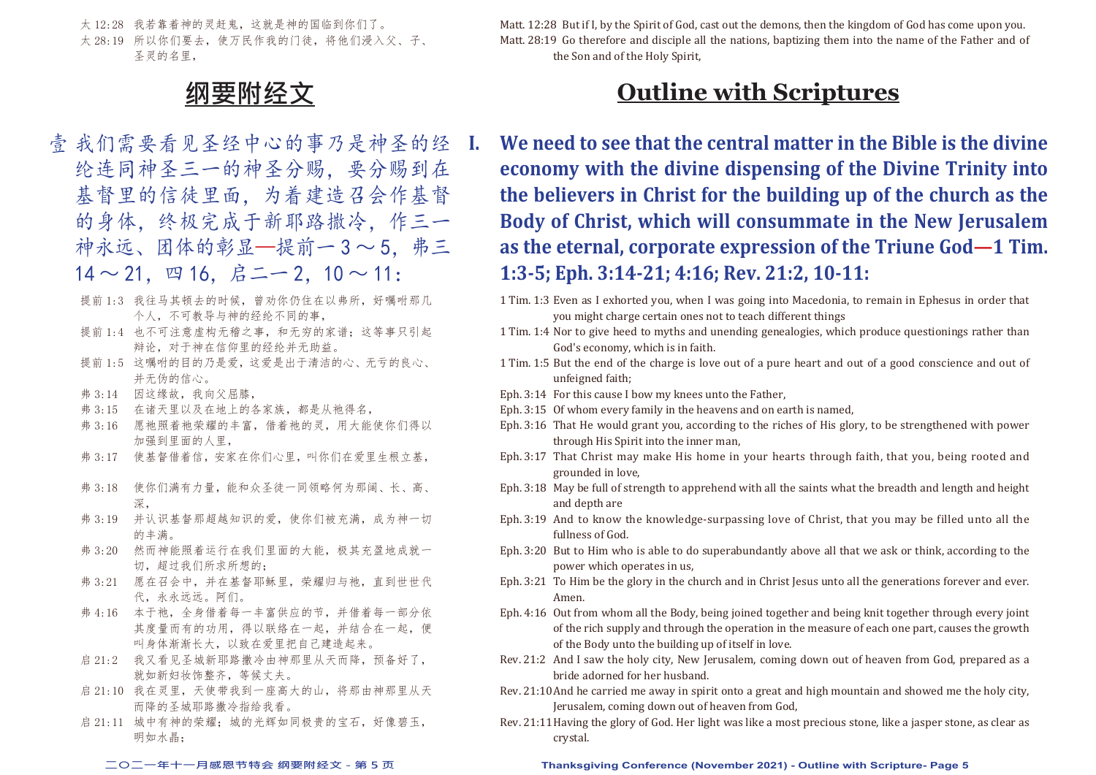太 12:28 我若靠着神的灵赶鬼,这就是神的国临到你们了。 太 28:19 所以你们要夫, 使万民作我的门徒, 将他们浸入父、子、 圣灵的名里,



- 壹 我们需要看见圣经中心的事乃是神圣的经 I. 纶连同神圣三一的神圣分赐,要分赐到在 基督里的信徒里面,为着建造召会作基督 的身体,终极完成于新耶路撒冷,作三一 神永远、团体的彰显—提前一3~5. 弗三  $14 \sim 21$ , 四 16, 启二一 2, 10 ~ 11:
	- 提前 1:3 我往马其顿去的时候, 曾劝你仍住在以弗所, 好嘱咐那几 个人,不可教导与神的经纶不同的事,
	- 提前 1:4 也不可注意虚构无稽之事, 和无穷的家谱; 这等事只引起 辩论,对于神在信仰里的经纶并无助益。
	- 提前 1:5 这嘱咐的目的乃是爱,这爱是出于清洁的心、无亏的良心、 并无伪的信心。
	- 弗 3:14 因这缘故,我向父屈膝,
	- 弗 3:15 在诸天里以及在地上的各家族,都是从祂得名,
	- 弗 3:16 愿祂照着祂荣耀的丰富,借着祂的灵,用大能使你们得以 加强到里面的人里,
	- 弗 3:17 使基督借着信,安家在你们心里,叫你们在爱里生根立基,
	- 弗 3:18 使你们满有力量,能和众圣徒一同领略何为那阔、长、高、 深,
	- 弗 3:19 并认识基督那超越知识的爱,使你们被充满,成为神一切 的主满。
	- 弗 3:20 然而神能照着运行在我们里面的大能,极其充盈地成就一 切,超过我们所求所想的;
	- 弗 3:21 愿在召会中, 并在基督耶稣里, 荣耀归与祂, 直到世世代 代,永永远远。阿们。
	- 弗 4:16 本于祂,全身借着每一丰富供应的节,并借着每一部分依 其度量而有的功用,得以联络在一起,并结合在一起,便 叫身体渐渐长大,以致在爱里把自己建造起来。
	- 启 21:2 我又看见圣城新耶路撒冷由神那里从天而降,预备好了, 就如新妇妆饰整齐,等候丈夫。
	- 启 21:10 我在灵里, 天使带我到一座高大的山, 将那由神那里从天 而降的圣城耶路撒冷指给我看。
	- 启 21:11 城中有神的荣耀; 城的光辉如同极贵的宝石, 好像碧玉, 明如水晶;

Matt. 12:28 But if I, by the Spirit of God, cast out the demons, then the kingdom of God has come upon you. Matt. 28:19 Go therefore and disciple all the nations, baptizing them into the name of the Father and of the Son and of the Holy Spirit,

# **Outline with Scriptures**

- **I. We need to see that the central matter in the Bible is the divine economy with the divine dispensing of the Divine Trinity into the believers in Christ for the building up of the church as the Body of Christ, which will consummate in the New Jerusalem as the eternal, corporate expression of the Triune God—1 Tim. 1:3-5; Eph. 3:14-21; 4:16; Rev. 21:2, 10-11:**
	- 1 Tim. 1:3 Even as I exhorted you, when I was going into Macedonia, to remain in Ephesus in order that you might charge certain ones not to teach different things
- 1 Tim. 1:4 Nor to give heed to myths and unending genealogies, which produce questionings rather than God's economy, which is in faith.
- 1 Tim. 1:5 But the end of the charge is love out of a pure heart and out of a good conscience and out of unfeigned faith;
- Eph. 3:14 For this cause I bow my knees unto the Father,
- Eph. 3:15 Of whom every family in the heavens and on earth is named,
- Eph. 3:16 That He would grant you, according to the riches of His glory, to be strengthened with power through His Spirit into the inner man,
- Eph. 3:17 That Christ may make His home in your hearts through faith, that you, being rooted and grounded in love,
- Eph. 3:18 May be full of strength to apprehend with all the saints what the breadth and length and height and depth are
- Eph. 3:19 And to know the knowledge-surpassing love of Christ, that you may be filled unto all the fullness of God.
- Eph. 3:20 But to Him who is able to do superabundantly above all that we ask or think, according to the power which operates in us,
- Eph. 3:21 To Him be the glory in the church and in Christ Jesus unto all the generations forever and ever. Amen.
- Eph. 4:16 Out from whom all the Body, being joined together and being knit together through every joint of the rich supply and through the operation in the measure of each one part, causes the growth of the Body unto the building up of itself in love.
- Rev. 21:2 And I saw the holy city, New Jerusalem, coming down out of heaven from God, prepared as a bride adorned for her husband.
- Rev. 21:10 And he carried me away in spirit onto a great and high mountain and showed me the holy city, Jerusalem, coming down out of heaven from God,
- Rev. 21:11 Having the glory of God. Her light was like a most precious stone, like a jasper stone, as clear as crystal.

**二○二一年十一月感恩节特会 纲要附经文 - 第 5 页 Thanksgiving Conference (November 2021) - Outline with Scripture- Page 5**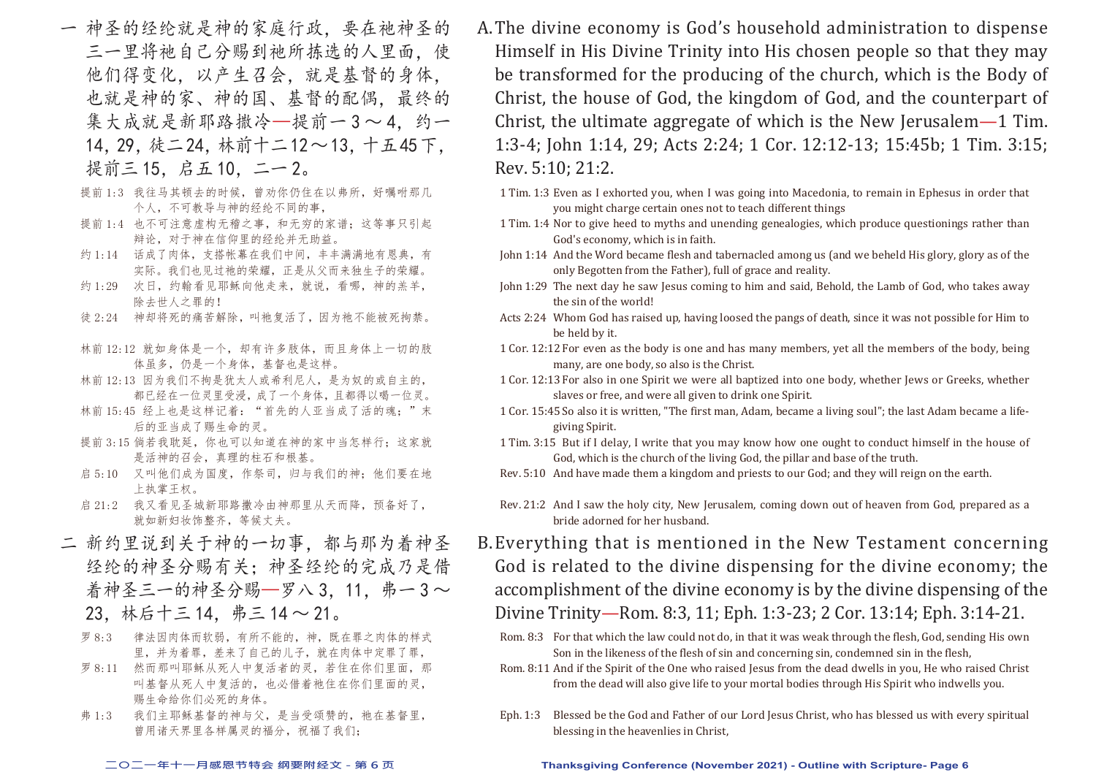- 一 神圣的经纶就是神的家庭行政,要在祂神圣的 三一里将祂自己分赐到祂所拣选的人里面。使 他们得变化,以产生召会,就是基督的身体, 也就是神的家、神的国、基督的配偶,最终的 集大成就是新耶路撒冷—提前一3~4. 约一 14,29,徒二 24,林前十二 12~ 13,十五 45下, 提前三 15, 启五 10, 二一 2。
	- 提前 1:3 我往马其顿去的时候, 曾劝你仍住在以弗所, 好嘱咐那几 个人,不可教导与神的经纶不同的事,
	- 提前 1:4 也不可注意虚构无稽之事, 和无穷的家谱;这等事只引起 辩论,对于神在信仰里的经纶并无助益。
	- 约 1:14 话成了肉体,支搭帐幕在我们中间,丰丰满满地有恩典,有 实际。我们也见过祂的荣耀,正是从父而来独生子的荣耀。
	- 约 1:29 次日,约翰看见耶稣向他走来,就说,看哪,神的羔羊, 除去世人之罪的!
	- 徒 2:24 神却将死的痛苦解除,叫祂复活了,因为祂不能被死拘禁。
	- 林前 12:12 就如身体是一个,却有许多肢体,而且身体上一切的肢 体虽多,仍是一个身体,基督也是这样。
	- 林前 12:13 因为我们不拘是犹太人或希利尼人,是为奴的或自主的, 都已经在一位灵里受浸,成了一个身体,且都得以喝一位灵。
	- 林前 15:45 经上也是这样记着: "首先的人亚当成了活的魂;"末 后的亚当成了赐生命的灵。
	- 提前 3:15 倘若我耽延, 你也可以知道在神的家中当怎样行;这家就 是活神的召会,真理的柱石和根基。
	- 启 5:10 又叫他们成为国度,作祭司,归与我们的神;他们要在地 上执掌王权。
	- 启 21:2 我又看见圣城新耶路撒冷由神那里从天而降,预备好了, 就如新妇妆饰整齐,等候丈夫。
- 二 新约里说到关于神的一切事,都与那为着神圣 经纶的神圣分赐有关;神圣经纶的完成乃是借 着神圣三一的神圣分赐—罗八 3,11,弗一 3~ 23,林后十三 14,弗三 14 ~ 21。
	- 罗 8:3 律法因肉体而软弱,有所不能的,神,既在罪之肉体的样式 里,并为着罪,差来了自己的儿子,就在肉体中定罪了罪,
	- 罗 8:11 然而那叫耶稣从死人中复活者的灵,若住在你们里面,那 叫基督从死人中复活的,也必借着祂住在你们里面的灵, 赐生命给你们必死的身体。
	- 弗 1:3 我们主耶稣基督的神与父, 是当受颂赞的, 祂在基督里, 曾用诸天界里各样属灵的福分,祝福了我们;
- A. The divine economy is God's household administration to dispense Himself in His Divine Trinity into His chosen people so that they may be transformed for the producing of the church, which is the Body of Christ, the house of God, the kingdom of God, and the counterpart of Christ, the ultimate aggregate of which is the New Jerusalem—1 Tim. 1:3-4; John 1:14, 29; Acts 2:24; 1 Cor. 12:12-13; 15:45b; 1 Tim. 3:15; Rev. 5:10; 21:2.
	- 1 Tim. 1:3 Even as I exhorted you, when I was going into Macedonia, to remain in Ephesus in order that you might charge certain ones not to teach different things
	- 1 Tim. 1:4 Nor to give heed to myths and unending genealogies, which produce questionings rather than God's economy, which is in faith.
	- John 1:14 And the Word became flesh and tabernacled among us (and we beheld His glory, glory as of the only Begotten from the Father), full of grace and reality.
	- John 1:29 The next day he saw Jesus coming to him and said, Behold, the Lamb of God, who takes away the sin of the world!
	- Acts 2:24 Whom God has raised up, having loosed the pangs of death, since it was not possible for Him to be held by it.
	- 1 Cor. 12:12 For even as the body is one and has many members, yet all the members of the body, being many, are one body, so also is the Christ.
	- 1 Cor. 12:13 For also in one Spirit we were all baptized into one body, whether Jews or Greeks, whether slaves or free, and were all given to drink one Spirit.
	- 1 Cor. 15:45 So also it is written, "The first man, Adam, became a living soul"; the last Adam became a lifegiving Spirit.
	- 1 Tim. 3:15 But if I delay, I write that you may know how one ought to conduct himself in the house of God, which is the church of the living God, the pillar and base of the truth.
	- Rev. 5:10 And have made them a kingdom and priests to our God; and they will reign on the earth.
	- Rev. 21:2 And I saw the holy city, New Jerusalem, coming down out of heaven from God, prepared as a bride adorned for her husband.
- B. Everything that is mentioned in the New Testament concerning God is related to the divine dispensing for the divine economy; the accomplishment of the divine economy is by the divine dispensing of the Divine Trinity—Rom. 8:3, 11; Eph. 1:3-23; 2 Cor. 13:14; Eph. 3:14-21.
	- Rom. 8:3 For that which the law could not do, in that it was weak through the flesh, God, sending His own Son in the likeness of the flesh of sin and concerning sin, condemned sin in the flesh,
	- Rom. 8:11 And if the Spirit of the One who raised Jesus from the dead dwells in you, He who raised Christ from the dead will also give life to your mortal bodies through His Spirit who indwells you.
	- Eph. 1:3 Blessed be the God and Father of our Lord Jesus Christ, who has blessed us with every spiritual blessing in the heavenlies in Christ,

#### **二○二一年十一月感恩节特会 纲要附经文 - 第 6 页 Thanksgiving Conference (November 2021) - Outline with Scripture- Page 6**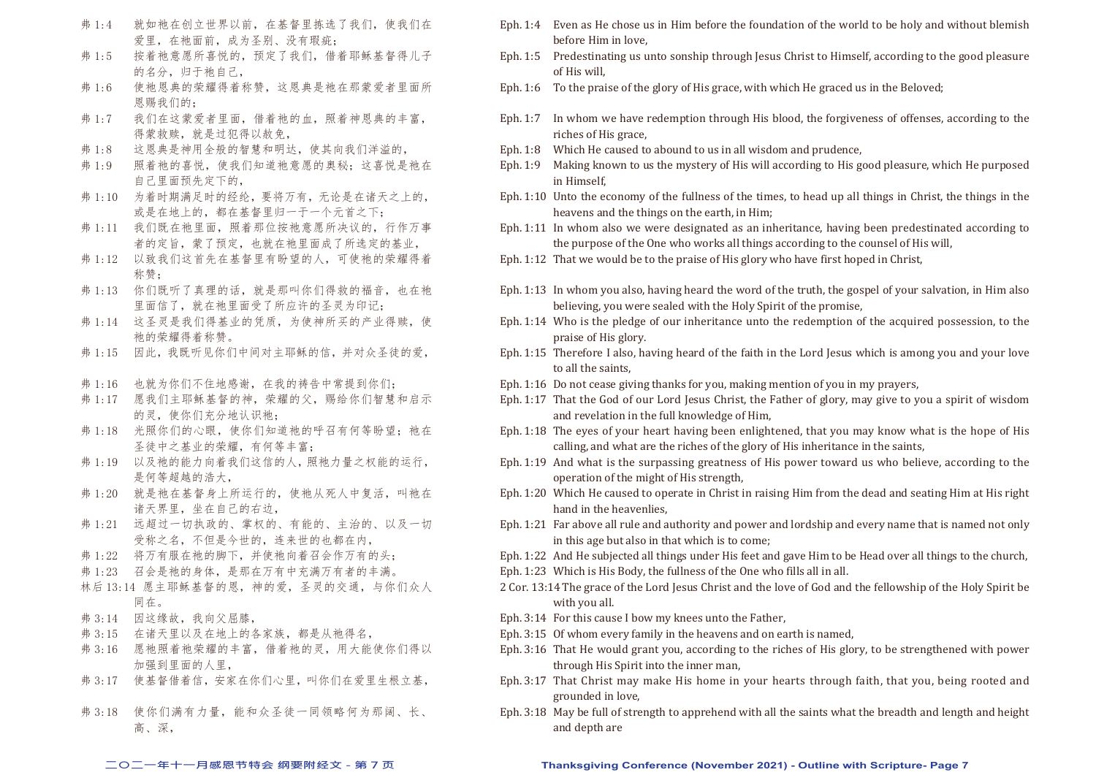- 弗 1:4 就如祂在创立世界以前, 在基督里拣选了我们, 使我们在 爱里,在祂面前,成为圣别、没有瑕疵;
- 弗 1:5 按着祂意愿所喜悦的,预定了我们,借着耶稣基督得儿子 的名分,归于祂自己,
- 弗 1:6 使祂恩典的荣耀得着称赞,这恩典是祂在那蒙爱者里面所 恩赐我们的;
- 弗 1:7 我们在这蒙爱者里面,借着祂的血,照着神恩典的丰富, 得蒙救赎,就是过犯得以赦免,
- 弗 1:8 这恩典是神用全般的智慧和明达,使其向我们洋溢的,
- 弗 1:9 照着祂的喜悦, 使我们知道祂意愿的奥秘; 这喜悦是祂在 自己里面预先定下的,
- 弗 1:10 为着时期满足时的经纶,要将万有,无论是在诸天之上的, 或是在地上的,都在基督里归一于一个元首之下;
- 弗 1:11 我们既在祂里面, 照着那位按祂意愿所决议的, 行作万事 者的定旨,蒙了预定,也就在祂里面成了所选定的基业,
- 弗 1:12 以致我们这首先在基督里有盼望的人,可使祂的荣耀得着 称赞;
- 弗 1:13 你们既听了真理的话, 就是那叫你们得救的福音, 也在祂 里面信了,就在祂里面受了所应许的圣灵为印记;
- 弗 1:14 这圣灵是我们得基业的凭质,为使神所买的产业得赎,使 祂的荣耀得着称赞。
- 弗 1:15 因此,我既听见你们中间对主耶稣的信,并对众圣徒的爱,
- 弗 1:16 也就为你们不住地感谢,在我的祷告中常提到你们;
- 弗 1:17 愿我们主耶稣基督的神,荣耀的父,赐给你们智慧和启示 的灵,使你们充分地认识祂;
- 弗 1:18 光照你们的心眼, 使你们知道祂的呼召有何等盼望; 祂在 圣徒中之基业的荣耀,有何等丰富;
- 弗 1:19 以及祂的能力向着我们这信的人,照祂力量之权能的运行, 是何等超越的浩大,
- 弗 1:20 就是祂在基督身上所运行的, 使祂从死人中复活, 叫祂在 诸天界里,坐在自己的右边,
- 弗 1:21 远超过一切执政的、掌权的、有能的、主治的、以及一切 受称之名,不但是今世的,连来世的也都在内,
- 弗 1:22 将万有服在祂的脚下,并使祂向着召会作万有的头;
- 弗 1:23 召会是祂的身体,是那在万有中充满万有者的丰满。
- 林后 13:14 愿主耶稣基督的恩,神的爱,圣灵的交通,与你们众人 同在。
- 弗 3:14 因这缘故,我向父屈膝,
- 弗 3:15 在诸天里以及在地上的各家族,都是从祂得名,
- 弗 3:16 愿祂照着祂荣耀的丰富,借着祂的灵,用大能使你们得以 加强到里面的人里,
- 弗 3:17 使基督借着信,安家在你们心里,叫你们在爱里生根立基,
- 弗 3:18 使你们满有力量,能和众圣徒一同领略何为那阔、长、 高、深,
- Eph. 1:4 Even as He chose us in Him before the foundation of the world to be holy and without blemish before Him in love,
- Eph. 1:5 Predestinating us unto sonship through Jesus Christ to Himself, according to the good pleasure of His will,
- Eph. 1:6 To the praise of the glory of His grace, with which He graced us in the Beloved;
- Eph. 1:7 In whom we have redemption through His blood, the forgiveness of offenses, according to the riches of His grace,
- Eph. 1:8 Which He caused to abound to us in all wisdom and prudence,
- Eph. 1:9 Making known to us the mystery of His will according to His good pleasure, which He purposed in Himself,
- Eph. 1:10 Unto the economy of the fullness of the times, to head up all things in Christ, the things in the heavens and the things on the earth, in Him;
- Eph. 1:11 In whom also we were designated as an inheritance, having been predestinated according to the purpose of the One who works all things according to the counsel of His will,
- Eph. 1:12 That we would be to the praise of His glory who have first hoped in Christ,
- Eph. 1:13 In whom you also, having heard the word of the truth, the gospel of your salvation, in Him also believing, you were sealed with the Holy Spirit of the promise,
- Eph. 1:14 Who is the pledge of our inheritance unto the redemption of the acquired possession, to the praise of His glory.
- Eph. 1:15 Therefore I also, having heard of the faith in the Lord Jesus which is among you and your love to all the saints,
- Eph. 1:16 Do not cease giving thanks for you, making mention of you in my prayers,
- Eph. 1:17 That the God of our Lord Jesus Christ, the Father of glory, may give to you a spirit of wisdom and revelation in the full knowledge of Him,
- Eph. 1:18 The eyes of your heart having been enlightened, that you may know what is the hope of His calling, and what are the riches of the glory of His inheritance in the saints,
- Eph. 1:19 And what is the surpassing greatness of His power toward us who believe, according to the operation of the might of His strength,
- Eph. 1:20 Which He caused to operate in Christ in raising Him from the dead and seating Him at His right hand in the heavenlies,
- Eph. 1:21 Far above all rule and authority and power and lordship and every name that is named not only in this age but also in that which is to come;
- Eph. 1:22 And He subjected all things under His feet and gave Him to be Head over all things to the church,
- Eph. 1:23 Which is His Body, the fullness of the One who fills all in all.
- 2 Cor. 13:14 The grace of the Lord Jesus Christ and the love of God and the fellowship of the Holy Spirit be with you all.
- Eph. 3:14 For this cause I bow my knees unto the Father,
- Eph. 3:15 Of whom every family in the heavens and on earth is named,
- Eph. 3:16 That He would grant you, according to the riches of His glory, to be strengthened with power through His Spirit into the inner man,
- Eph. 3:17 That Christ may make His home in your hearts through faith, that you, being rooted and grounded in love,
- Eph. 3:18 May be full of strength to apprehend with all the saints what the breadth and length and height and depth are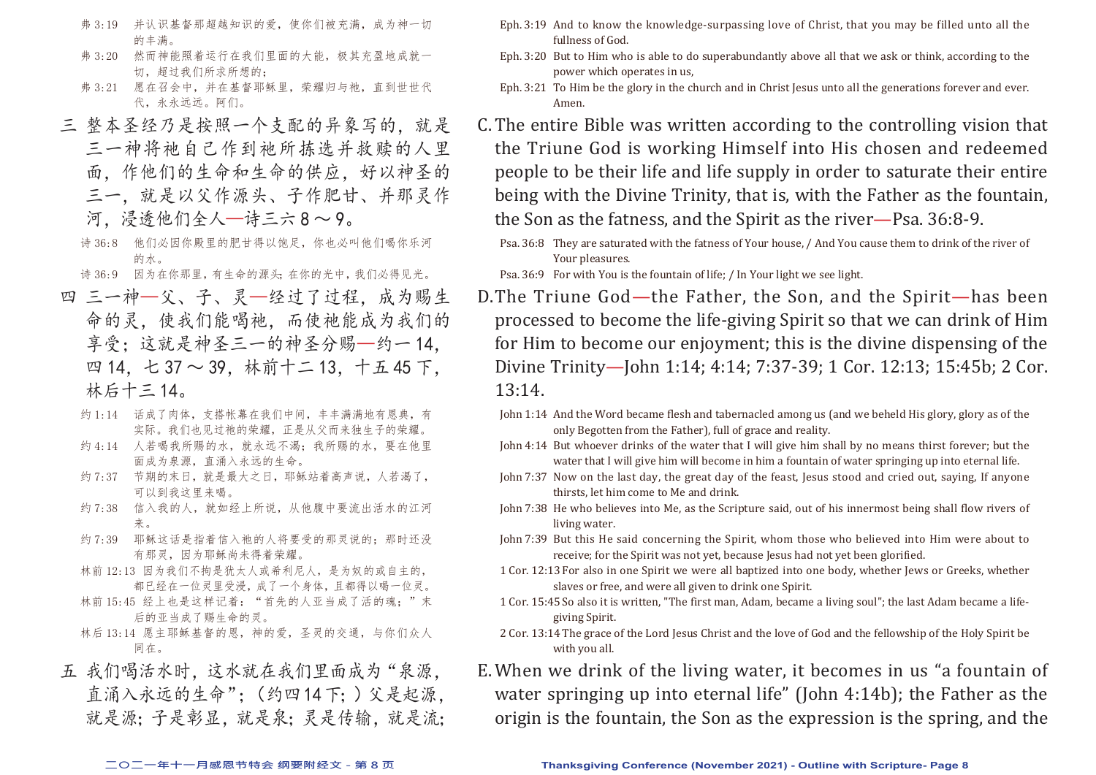- 弗 3:19 并认识基督那超越知识的爱,使你们被充满,成为神一切 的丰满。
- 弗 3:20 然而神能照着运行在我们里面的大能,极其充盈地成就一 切,超过我们所求所想的;
- 弗 3:21 愿在召会中,并在基督耶稣里,荣耀归与祂,直到世世代 代,永永远远。阿们。
- 三 整本圣经乃是按照一个支配的异象写的,就是 三一神将祂自己作到祂所拣选并救赎的人里 面,作他们的生命和生命的供应,好以神圣的 三一,就是以父作源头、子作肥甘、并那灵作 河,浸透他们全人—诗三六 8 ~ 9。
	- 诗 36:8 他们必因你殿里的肥甘得以饱足,你也必叫他们喝你乐河 的水。
	- 诗 36:9 因为在你那里, 有生命的源头; 在你的光中, 我们必得见光。
- 四 三一神—父、子、灵—经过了过程,成为赐生 命的灵,使我们能喝祂,而使祂能成为我们的 享受;这就是神圣三一的神圣分赐—约一 14, 四 14,七 37 ~ 39,林前十二 13,十五 45 下, 林后十三 14。
	- 约 1:14 话成了肉体,支搭帐幕在我们中间,丰丰满满地有恩典,有 实际。我们也见过祂的荣耀,正是从父而来独生子的荣耀。
	- 约 4:14 人若喝我所赐的水, 就永远不渴; 我所赐的水, 要在他里 面成为泉源,直涌入永远的生命。
	- 约 7:37 节期的末日, 就是最大之日, 耶稣站着高声说, 人若渴了, 可以到我这里来喝。
	- 约 7:38 信入我的人,就如经上所说,从他腹中要流出活水的江河 来。
	- 约 7:39 耶稣这话是指着信入祂的人将要受的那灵说的;那时还没 有那灵,因为耶稣尚未得着荣耀。
	- 林前 12:13 因为我们不拘是犹太人或希利尼人,是为奴的或自主的, 都已经在一位灵里受浸,成了一个身体,且都得以喝一位灵。
	- 林前 15:45 经上也是这样记着: "首先的人亚当成了活的魂;"末 后的亚当成了赐生命的灵。
	- 林后 13:14 愿主耶稣基督的恩,神的爱,圣灵的交通,与你们众人 同在。
- 五 我们喝活水时,这水就在我们里面成为"泉源, 直涌入永远的生命";(约四 14下;)父是起源, 就是源;子是彰显,就是泉;灵是传输,就是流;
- Eph. 3:19 And to know the knowledge-surpassing love of Christ, that you may be filled unto all the fullness of God.
- Eph. 3:20 But to Him who is able to do superabundantly above all that we ask or think, according to the power which operates in us,
- Eph. 3:21 To Him be the glory in the church and in Christ Jesus unto all the generations forever and ever. Amen.
- C. The entire Bible was written according to the controlling vision that the Triune God is working Himself into His chosen and redeemed people to be their life and life supply in order to saturate their entire being with the Divine Trinity, that is, with the Father as the fountain, the Son as the fatness, and the Spirit as the river—Psa. 36:8-9.
	- Psa. 36:8 They are saturated with the fatness of Your house, / And You cause them to drink of the river of Your pleasures.

Psa. 36:9 For with You is the fountain of life; / In Your light we see light.

- D. The Triune God—the Father, the Son, and the Spirit—has been processed to become the life-giving Spirit so that we can drink of Him for Him to become our enjoyment; this is the divine dispensing of the Divine Trinity—John 1:14; 4:14; 7:37-39; 1 Cor. 12:13; 15:45b; 2 Cor. 13:14.
	- John 1:14 And the Word became flesh and tabernacled among us (and we beheld His glory, glory as of the only Begotten from the Father), full of grace and reality.
	- John 4:14 But whoever drinks of the water that I will give him shall by no means thirst forever; but the water that I will give him will become in him a fountain of water springing up into eternal life.
	- John 7:37 Now on the last day, the great day of the feast, Jesus stood and cried out, saying, If anyone thirsts, let him come to Me and drink.
	- John 7:38 He who believes into Me, as the Scripture said, out of his innermost being shall flow rivers of living water.
	- John 7:39 But this He said concerning the Spirit, whom those who believed into Him were about to receive; for the Spirit was not yet, because Jesus had not yet been glorified.
	- 1 Cor. 12:13 For also in one Spirit we were all baptized into one body, whether Jews or Greeks, whether slaves or free, and were all given to drink one Spirit.
	- 1 Cor. 15:45 So also it is written, "The first man, Adam, became a living soul"; the last Adam became a lifegiving Spirit.
	- 2 Cor. 13:14 The grace of the Lord Jesus Christ and the love of God and the fellowship of the Holy Spirit be with you all.
- E. When we drink of the living water, it becomes in us "a fountain of water springing up into eternal life" (John 4:14b); the Father as the origin is the fountain, the Son as the expression is the spring, and the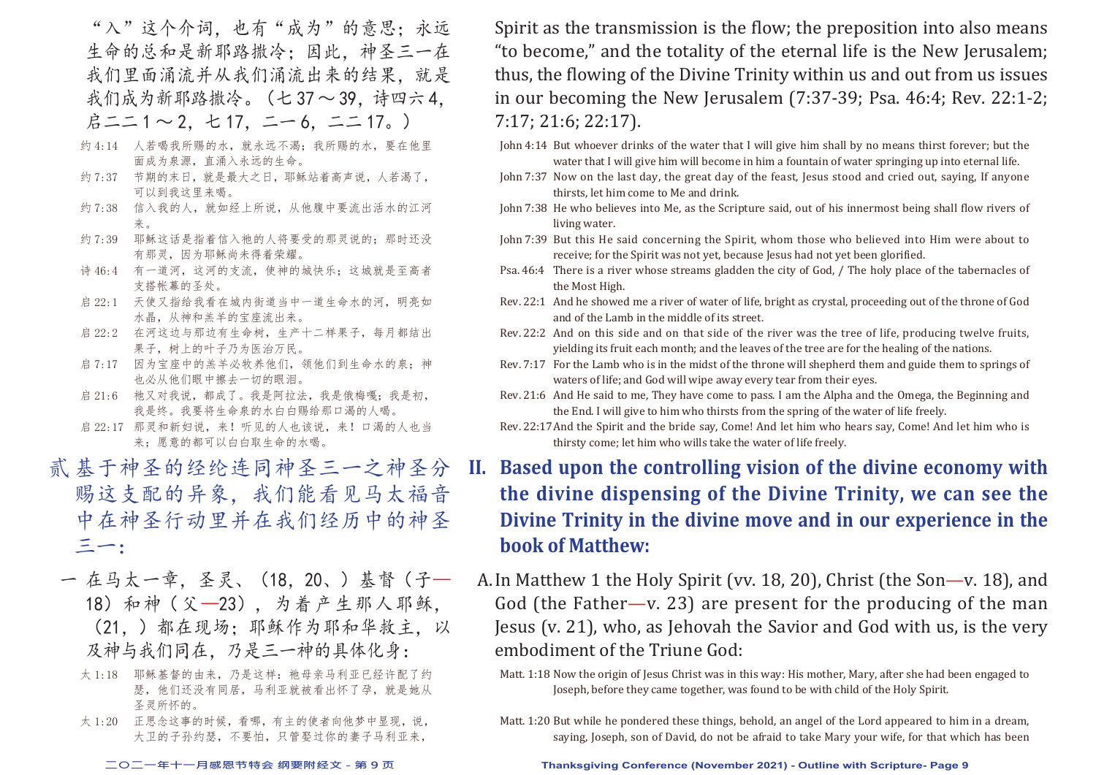"入"这个介词,也有"成为"的意思;永远 生命的总和是新耶路撒冷;因此,神圣三一在 我们里面涌流并从我们涌流出来的结果,就是 我们成为新耶路撒冷。(七37~39. 诗四六4.  $\n *B* = 1 ~ 1 ~ 2, t 17, t - 6, t = 17, )$ 

- 约 4:14 人若喝我所赐的水,就永远不渴;我所赐的水,要在他里 面成为泉源,直涌入永远的生命。
- 约 7:37 节期的末日, 就是最大之日, 耶稣站着高声说, 人若渴了, 可以到我这里来喝。
- 约 7:38 信入我的人,就如经上所说,从他腹中要流出活水的江河 来。
- 约 7:39 耶稣这话是指着信入祂的人将要受的那灵说的: 那时还没 有那灵,因为耶稣尚未得着荣耀。
- 诗 46:4 有一道河,这河的支流,使神的城快乐;这城就是至高者 支搭帐幕的圣处。
- 启 22:1 天使又指给我看在城内街道当中一道生命水的河, 明亮如 水晶,从神和羔羊的宝座流出来。
- 启 22:2 在河这边与那边有生命树,生产十二样果子,每月都结出 果子,树上的叶子乃为医治万民。
- 启 7:17 因为宝座中的羔羊必牧养他们,领他们到生命水的泉;神 也必从他们眼中擦去一切的眼泪。
- 启 21:6 祂又对我说,都成了。我是阿拉法,我是俄梅嘎;我是初, 我是终。我要将生命泉的水白白赐给那口渴的人喝。
- 启 22:17 那灵和新妇说,来!听见的人也该说,来!口渴的人也当 来;愿意的都可以白白取生命的水喝。
- 贰 基于神圣的经纶连同神圣三一之神圣分 赐这支配的异象,我们能看见马太福音 中在神圣行动里并在我们经历中的神圣 三一:
- 一 在马太一章,圣灵、(18,20、)基督(子— 18)和神(父—23),为着产生那人耶稣, (21,)都在现场;耶稣作为耶和华救主,以 及神与我们同在,乃是三一神的具体化身:
	- 太 1:18 耶稣基督的由来, 乃是这样: 祂母亲马利亚已经许配了约 瑟,他们还没有同居,马利亚就被看出怀了孕,就是她从 圣灵所怀的。
	- 太 1:20 正思念这事的时候,看哪,有主的使者向他梦中显现,说, 大卫的子孙约瑟,不要怕,只管娶过你的妻子马利亚来,

Spirit as the transmission is the flow; the preposition into also means "to become," and the totality of the eternal life is the New Jerusalem; thus, the flowing of the Divine Trinity within us and out from us issues in our becoming the New Jerusalem (7:37-39; Psa. 46:4; Rev. 22:1-2; 7:17; 21:6; 22:17).

- John 4:14 But whoever drinks of the water that I will give him shall by no means thirst forever; but the water that I will give him will become in him a fountain of water springing up into eternal life.
- John 7:37 Now on the last day, the great day of the feast, Jesus stood and cried out, saying, If anyone thirsts, let him come to Me and drink.
- John 7:38 He who believes into Me, as the Scripture said, out of his innermost being shall flow rivers of living water.
- John 7:39 But this He said concerning the Spirit, whom those who believed into Him were about to receive; for the Spirit was not yet, because Jesus had not yet been glorified.
- Psa. 46:4 There is a river whose streams gladden the city of God, / The holy place of the tabernacles of the Most High.
- Rev. 22:1 And he showed me a river of water of life, bright as crystal, proceeding out of the throne of God and of the Lamb in the middle of its street.
- Rev. 22:2 And on this side and on that side of the river was the tree of life, producing twelve fruits, yielding its fruit each month; and the leaves of the tree are for the healing of the nations.
- Rev. 7:17 For the Lamb who is in the midst of the throne will shepherd them and guide them to springs of waters of life; and God will wipe away every tear from their eyes.
- Rev. 21:6 And He said to me, They have come to pass. I am the Alpha and the Omega, the Beginning and the End. I will give to him who thirsts from the spring of the water of life freely.
- Rev. 22:17 And the Spirit and the bride say, Come! And let him who hears say, Come! And let him who is thirsty come; let him who wills take the water of life freely.
- **II. Based upon the controlling vision of the divine economy with the divine dispensing of the Divine Trinity, we can see the Divine Trinity in the divine move and in our experience in the book of Matthew:**
- A. In Matthew 1 the Holy Spirit (vv. 18, 20), Christ (the Son—v. 18), and God (the Father—v. 23) are present for the producing of the man Jesus (v. 21), who, as Jehovah the Savior and God with us, is the very embodiment of the Triune God:

Matt. 1:18 Now the origin of Jesus Christ was in this way: His mother, Mary, after she had been engaged to Joseph, before they came together, was found to be with child of the Holy Spirit.

Matt. 1:20 But while he pondered these things, behold, an angel of the Lord appeared to him in a dream, saying, Joseph, son of David, do not be afraid to take Mary your wife, for that which has been

#### **二○二一年十一月感恩节特会 纲要附经文 - 第 9 页 Thanksgiving Conference (November 2021) - Outline with Scripture- Page 9**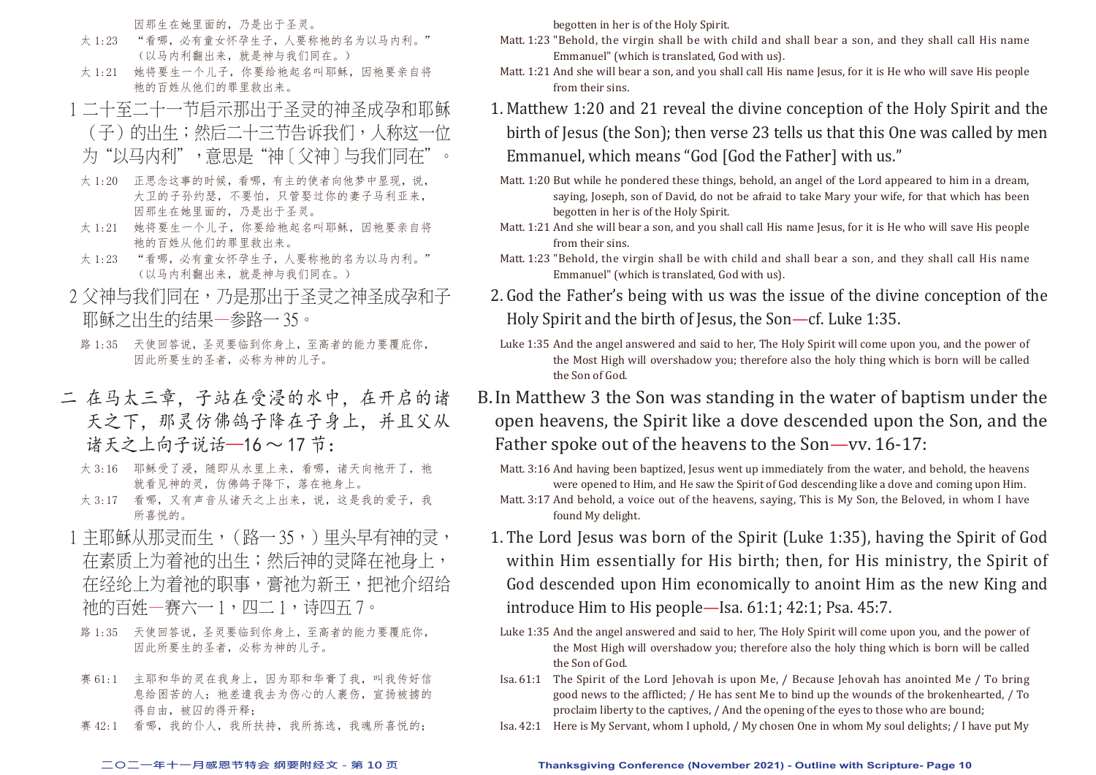因那生在她里面的,乃是出于圣灵。

- 太 1:23 "看哪, 必有童女怀孕生子, 人要称祂的名为以马内利。" (以马内利翻出来,就是神与我们同在。)
- 太 1:21 她将要生一个儿子, 你要给祂起名叫耶稣, 因祂要亲自将 祂的百姓从他们的罪里救出来。
- 1 二十至二十一节启示那出于圣灵的神圣成孕和耶稣
- (子)的出生;然后二十三节告诉我们,人称这一位 为"以马内利",意思是"神〔父神〕与我们同在"
- 太 1:20 正思念这事的时候,看哪,有主的使者向他梦中显现,说, 大卫的子孙约瑟,不要怕,只管娶过你的妻子马利亚来, 因那生在她里面的,乃是出于圣灵。
- 太 1:21 她将要生一个儿子, 你要给祂起名叫耶稣, 因祂要亲自将 祂的百姓从他们的罪里救出来。
- 太 1:23 "看哪,必有童女怀孕生子,人要称祂的名为以马内利。" (以马内利翻出来,就是神与我们同在。)
- 2 父神与我们同在,乃是那出于圣灵之神圣成孕和子 耶稣之出生的结果—参路一 35。
- 路 1:35 天使回答说,圣灵要临到你身上,至高者的能力要覆庇你, 因此所要生的圣者,必称为神的儿子。
- 二 在马太三章,子站在受浸的水中,在开启的诸 天之下,那灵仿佛鸽子降在子身上,并且父从 诸天之上向子说话—16 ~ 17 节:
	- 太 3:16 耶稣受了浸, 随即从水里上来, 看哪, 诸天向祂开了, 祂 就看见神的灵,仿佛鸽子降下,落在祂身上。
	- 太 3:17 看哪,又有声音从诸天之上出来,说,这是我的爱子,我 所喜悦的。
- 1 主耶稣从那灵而生,(路一35,)里头早有神的灵, 在素质上为着祂的出生;然后神的灵降在祂身上, 在经纶上为着祂的职事,膏祂为新王,把祂介绍给 祂的百姓—赛六一 1,四二 1,诗四五 7。
- 路 1:35 天使回答说,圣灵要临到你身上,至高者的能力要覆庇你, 因此所要生的圣者,必称为神的儿子。
- 赛 61:1 主耶和华的灵在我身上,因为耶和华膏了我,叫我传好信 息给困苦的人; 祂差遣我去为伤心的人裹伤, 宣扬被掳的 得自由, 被囚的得开释;
- 赛 42:1 看哪,我的仆人,我所扶持,我所拣选,我魂所喜悦的;

begotten in her is of the Holy Spirit.

- Matt. 1:23 "Behold, the virgin shall be with child and shall bear a son, and they shall call His name Emmanuel" (which is translated, God with us).
- Matt. 1:21 And she will bear a son, and you shall call His name Jesus, for it is He who will save His people from their sins.
- 1. Matthew 1:20 and 21 reveal the divine conception of the Holy Spirit and the birth of Jesus (the Son); then verse 23 tells us that this One was called by men Emmanuel, which means "God [God the Father] with us."
	- Matt. 1:20 But while he pondered these things, behold, an angel of the Lord appeared to him in a dream, saying, Joseph, son of David, do not be afraid to take Mary your wife, for that which has been begotten in her is of the Holy Spirit.
	- Matt. 1:21 And she will bear a son, and you shall call His name Jesus, for it is He who will save His people from their sins.
- Matt. 1:23 "Behold, the virgin shall be with child and shall bear a son, and they shall call His name Emmanuel" (which is translated, God with us).
- 2. God the Father's being with us was the issue of the divine conception of the Holy Spirit and the birth of Jesus, the Son—cf. Luke 1:35.
- Luke 1:35 And the angel answered and said to her, The Holy Spirit will come upon you, and the power of the Most High will overshadow you; therefore also the holy thing which is born will be called the Son of God.
- B. In Matthew 3 the Son was standing in the water of baptism under the open heavens, the Spirit like a dove descended upon the Son, and the Father spoke out of the heavens to the Son—vv. 16-17:

Matt. 3:16 And having been baptized, Jesus went up immediately from the water, and behold, the heavens were opened to Him, and He saw the Spirit of God descending like a dove and coming upon Him.

- Matt. 3:17 And behold, a voice out of the heavens, saying, This is My Son, the Beloved, in whom I have found My delight.
- 1. The Lord Jesus was born of the Spirit (Luke 1:35), having the Spirit of God within Him essentially for His birth; then, for His ministry, the Spirit of God descended upon Him economically to anoint Him as the new King and introduce Him to His people—Isa. 61:1; 42:1; Psa. 45:7.
- Luke 1:35 And the angel answered and said to her, The Holy Spirit will come upon you, and the power of the Most High will overshadow you; therefore also the holy thing which is born will be called the Son of God.
- Isa. 61:1 The Spirit of the Lord Jehovah is upon Me, / Because Jehovah has anointed Me / To bring good news to the afflicted; / He has sent Me to bind up the wounds of the brokenhearted, / To proclaim liberty to the captives, / And the opening of the eyes to those who are bound;
- Isa. 42:1 Here is My Servant, whom I uphold, / My chosen One in whom My soul delights; / I have put My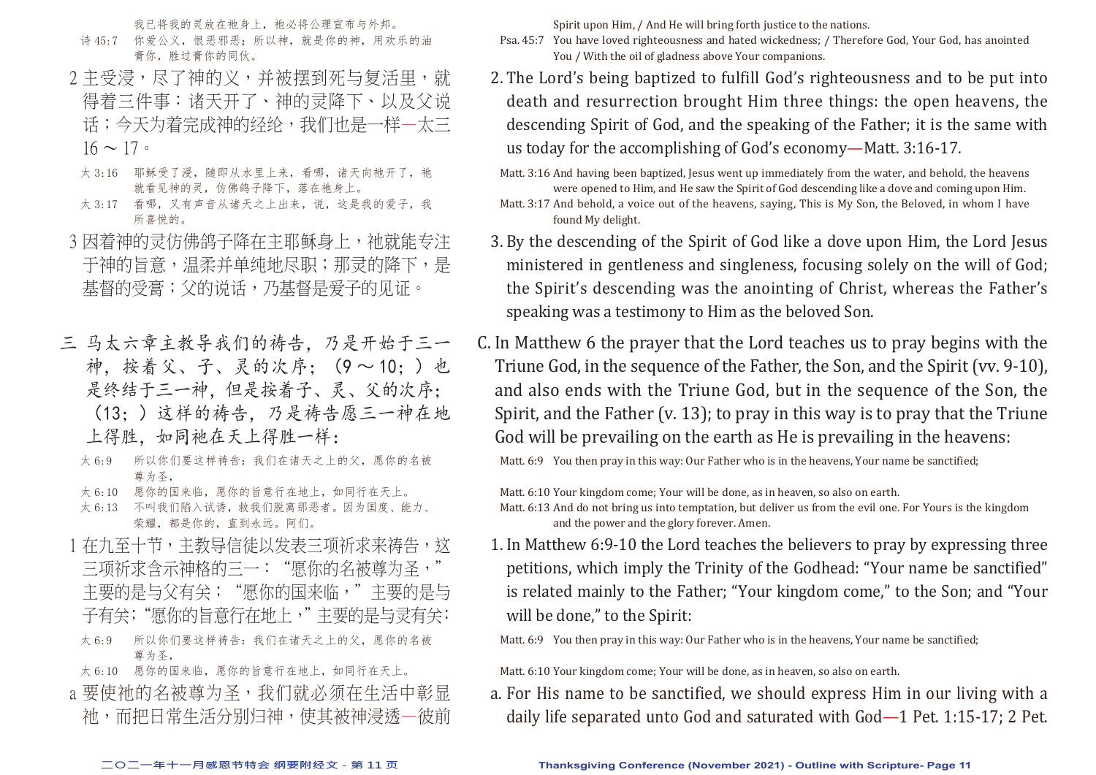我已将我的灵放在祂身上,祂必将公理宣布与外邦。

- 诗 45:7 你爱公义,恨恶邪恶;所以神,就是你的神,用欢乐的油 膏你,胜过膏你的同伙。
- 2 主受浸,尽了神的义,并被摆到死与复活里,就 得着三件事:诸天开了、神的灵降下、以及父说 话;今天为着完成神的经纶,我们也是一样一太三  $16 \sim 17$
- 太 3:16 耶稣受了浸, 随即从水里上来, 看哪, 诸天向祂开了, 祂 就看见神的灵,仿佛鸽子降下,落在祂身上。
- 太 3:17 看哪,又有声音从诸天之上出来,说,这是我的爱子,我 所喜悦的。
- 3 因着神的灵仿佛鸽子降在主耶稣身上, 祂就能专注 干神的旨意,温柔并单纯地尽职;那灵的降下,是 基督的受膏;父的说话,乃基督是爱子的见证。
- 三 马太六章主教导我们的祷告,乃是开始于三一 神,按着父、子、灵的次序;(9 ~ 10;)也 是终结于三一神,但是按着子、灵、父的次序; (13;)这样的祷告,乃是祷告愿三一神在地 上得胜,如同祂在天上得胜一样:
	- 太 6:9 所以你们要这样祷告:我们在诸天之上的父,愿你的名被 尊为圣,
	- 太 6:10 愿你的国来临,愿你的旨意行在地上,如同行在天上。
	- 太 6:13 不叫我们陷入试诱,救我们脱离那恶者。因为国度、能力、 荣耀,都是你的,直到永远。阿们。
- 1 在九至十节,主教导信徒以发表三项祈求来祷告,这 三项祈求含示神格的三一: "愿你的名被尊为圣, 主要的是与父有关; "愿你的国来临,"主要的是与 子有关; "愿你的旨意行在地上,"主要的是与灵有关:
- 太 6:9 所以你们要这样祷告:我们在诸天之上的父,愿你的名被 尊为圣,
- 太 6:10 愿你的国来临, 愿你的旨意行在地上, 如同行在天上。
- a 要使祂的名被尊为圣,我们就必须在生活中彰显 祂,而把日常生活分别归神,使其被神浸透—彼前

Spirit upon Him, / And He will bring forth justice to the nations.

- Psa. 45:7 You have loved righteousness and hated wickedness; / Therefore God, Your God, has anointed You / With the oil of gladness above Your companions.
- 2. The Lord's being baptized to fulfill God's righteousness and to be put into death and resurrection brought Him three things: the open heavens, the descending Spirit of God, and the speaking of the Father; it is the same with us today for the accomplishing of God's economy—Matt. 3:16-17.

Matt. 3:16 And having been baptized, Jesus went up immediately from the water, and behold, the heavens were opened to Him, and He saw the Spirit of God descending like a dove and coming upon Him.

Matt. 3:17 And behold, a voice out of the heavens, saying, This is My Son, the Beloved, in whom I have found My delight.

- 3. By the descending of the Spirit of God like a dove upon Him, the Lord Jesus ministered in gentleness and singleness, focusing solely on the will of God; the Spirit's descending was the anointing of Christ, whereas the Father's speaking was a testimony to Him as the beloved Son.
- C. In Matthew 6 the prayer that the Lord teaches us to pray begins with the Triune God, in the sequence of the Father, the Son, and the Spirit (vv. 9-10), and also ends with the Triune God, but in the sequence of the Son, the Spirit, and the Father (v. 13); to pray in this way is to pray that the Triune God will be prevailing on the earth as He is prevailing in the heavens:

Matt. 6:9 You then pray in this way: Our Father who is in the heavens, Your name be sanctified:

Matt. 6:10 Your kingdom come; Your will be done, as in heaven, so also on earth.

Matt. 6:13 And do not bring us into temptation, but deliver us from the evil one. For Yours is the kingdom and the power and the glory forever. Amen.

1. In Matthew 6:9-10 the Lord teaches the believers to pray by expressing three petitions, which imply the Trinity of the Godhead: "Your name be sanctified" is related mainly to the Father; "Your kingdom come," to the Son; and "Your will be done," to the Spirit:

Matt. 6:9 You then pray in this way: Our Father who is in the heavens, Your name be sanctified;

Matt. 6:10 Your kingdom come; Your will be done, as in heaven, so also on earth.

a. For His name to be sanctified, we should express Him in our living with a daily life separated unto God and saturated with God—1 Pet. 1:15-17; 2 Pet.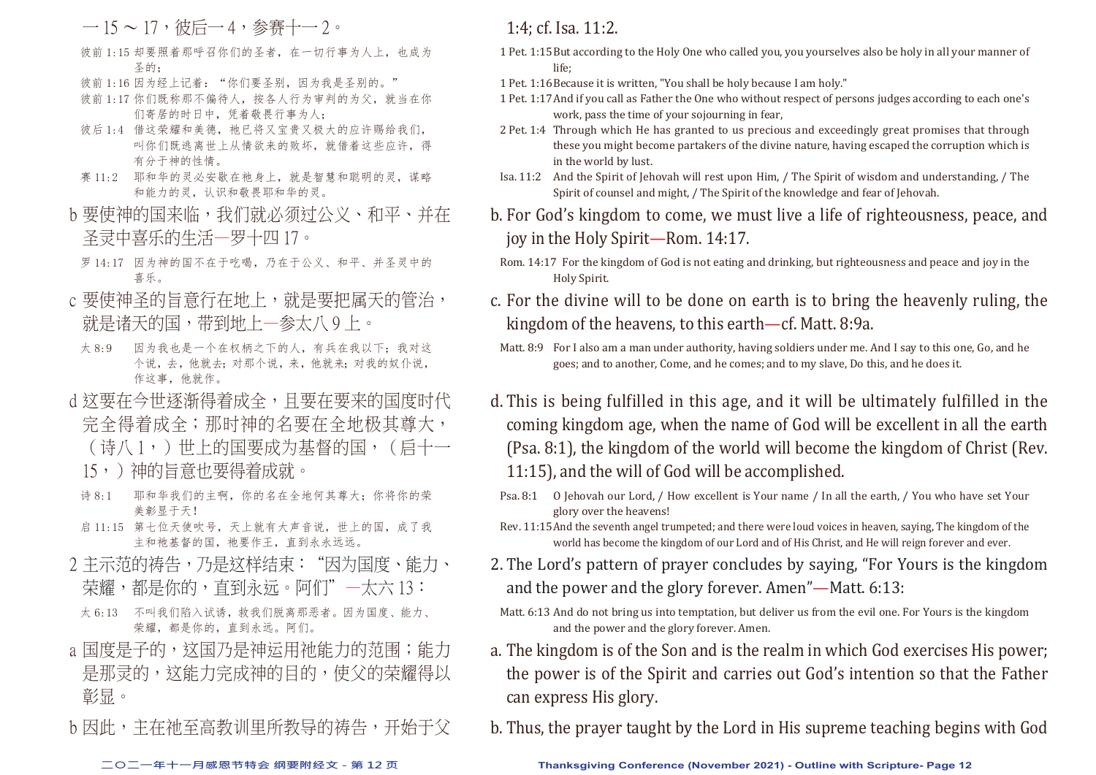$-15 \sim 17$ , 彼后 $-4$ , 参赛十 $-2 \sim$ 

- 彼前 1:15 却要照着那呼召你们的圣者, 在一切行事为人上, 也成为 圣的;
- 彼前 1:16 因为经上记着: "你们要圣别, 因为我是圣别的。"
- 彼前 1:17 你们既称那不偏待人, 按各人行为审判的为父, 就当在你 们寄居的时日中,凭着敬畏行事为人;
- 彼后 1:4 借这荣耀和美德, 祂已将又宝贵又极大的应许赐给我们, 叫你们既逃离世上从情欲来的败坏,就借着这些应许,得 有分于神的性情。
- 赛 11:2 耶和华的灵必安歇在祂身上,就是智慧和聪明的灵,谋略 和能力的灵,认识和敬畏耶和华的灵。
- b 要使神的国来临, 我们就必须讨公义、和平、并在 圣灵中喜乐的生活—罗十四 17。
- 罗 14:17 因为神的国不在于吃喝,乃在于公义、和平、并圣灵中的 喜乐。
- c 要使神圣的旨意行在地上, 就是要把属天的管治, 就是诸天的国,带到地上—参太八 9 上。
- 太 8:9 因为我也是一个在权柄之下的人, 有兵在我以下; 我对这 个说,去,他就去;对那个说,来,他就来;对我的奴仆说, 作这事,他就作。
- d 这要在今世逐渐得着成全, 且要在要来的国度时代 完全得着成全;那时神的名要在全地极其尊大,
	- (诗八 1,)世上的国要成为基督的国,(启十一
	- 15,)神的旨意也要得着成就。
- 诗 8:1 耶和华我们的主啊,你的名在全地何其尊大;你将你的荣 美彰显于天!
- 启 11:15 第七位天使吹号, 天上就有大声音说, 世上的国, 成了我 主和祂基督的国,祂要作王,直到永永远远。
- 2 主示范的祷告,乃是这样结束: "因为国度、能力、 荣耀,都是你的,直到永远。阿们"—太六 13:
- 太 6:13 不叫我们陷入试诱,救我们脱离那恶者。因为国度、能力、 荣耀,都是你的,直到永远。阿们。
- a 国度是子的, 这国乃是神运用祂能力的范围; 能力 是那灵的,这能力完成神的目的,使父的荣耀得以 彰显。
- b 因此, 主在祂至高教训里所教导的祷告, 开始干父

### 1:4; cf. Isa. 11:2.

- 1 Pet. 1:15 But according to the Holy One who called you, you yourselves also be holy in all your manner of life;
- 1 Pet. 1:16 Because it is written, "You shall be holy because I am holy."
- 1 Pet. 1:17 And if you call as Father the One who without respect of persons judges according to each one's work, pass the time of your sojourning in fear,
- 2 Pet. 1:4 Through which He has granted to us precious and exceedingly great promises that through these you might become partakers of the divine nature, having escaped the corruption which is in the world by lust.
- Isa. 11:2 And the Spirit of Jehovah will rest upon Him, / The Spirit of wisdom and understanding, / The Spirit of counsel and might, / The Spirit of the knowledge and fear of Jehovah.
- b. For God's kingdom to come, we must live a life of righteousness, peace, and joy in the Holy Spirit—Rom. 14:17.
	- Rom. 14:17 For the kingdom of God is not eating and drinking, but righteousness and peace and joy in the Holy Spirit.
- c. For the divine will to be done on earth is to bring the heavenly ruling, the kingdom of the heavens, to this earth—cf. Matt. 8:9a.
- Matt. 8:9 For I also am a man under authority, having soldiers under me. And I say to this one, Go, and he goes; and to another, Come, and he comes; and to my slave, Do this, and he does it.
- d. This is being fulfilled in this age, and it will be ultimately fulfilled in the coming kingdom age, when the name of God will be excellent in all the earth (Psa. 8:1), the kingdom of the world will become the kingdom of Christ (Rev. 11:15), and the will of God will be accomplished.
- Psa. 8:1 O Jehovah our Lord, / How excellent is Your name / In all the earth, / You who have set Your glory over the heavens!
- Rev. 11:15 And the seventh angel trumpeted; and there were loud voices in heaven, saying, The kingdom of the world has become the kingdom of our Lord and of His Christ, and He will reign forever and ever.
- 2. The Lord's pattern of prayer concludes by saying, "For Yours is the kingdom and the power and the glory forever. Amen"—Matt. 6:13:
- Matt. 6:13 And do not bring us into temptation, but deliver us from the evil one. For Yours is the kingdom and the power and the glory forever. Amen.
- a. The kingdom is of the Son and is the realm in which God exercises His power; the power is of the Spirit and carries out God's intention so that the Father can express His glory.
- b. Thus, the prayer taught by the Lord in His supreme teaching begins with God

#### **二○二一年十一月感恩节特会 纲要附经文 - 第 12 页 Thanksgiving Conference (November 2021) - Outline with Scripture- Page 12**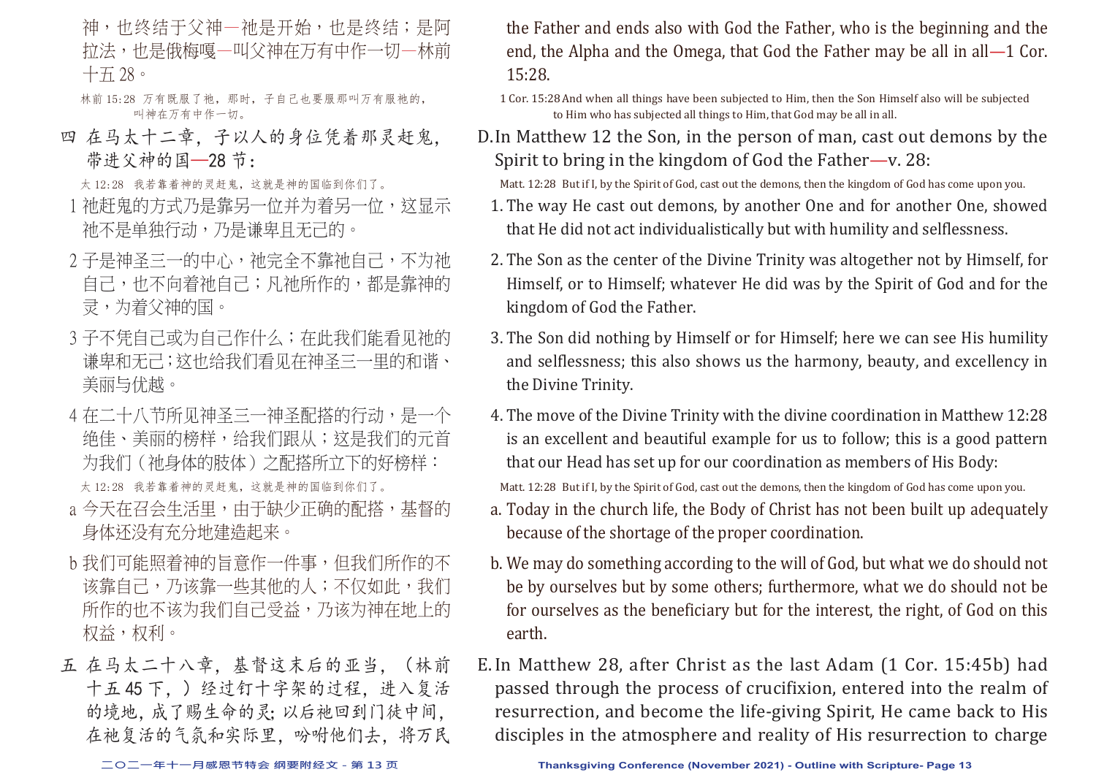神,也终结于父神—祂是开始,也是终结;是阿 拉法,也是俄梅嘎—叫父神在万有中作一切—林前 十五 28。

林前 15:28 万有既服了祂, 那时, 子自己也要服那叫万有服祂的, 叫神在万有中作一切。

四 在马太十二章,子以人的身位凭着那灵赶鬼, 带进父神的国—28 节:

太 12:28 我若靠着神的灵赶鬼, 这就是神的国临到你们了。

- 1 祂赶鬼的方式乃是靠另一位并为着另一位,这显示 祂不是单独行动,乃是谦卑且无己的。
- 2 子是神圣三一的中心, 祂完全不靠祂自己, 不为祂 自己,也不向着祂自己;凡祂所作的,都是靠神的 灵,为着父神的国。
- 3 子不凭自己或为自己作什么; 在此我们能看见祂的 谦卑和无己;这也给我们看见在神圣三一里的和谐、 美丽与优越。
- 4 在二十八节所见神圣三一神圣配搭的行动, 是一个 绝佳、美丽的榜样,给我们跟从;这是我们的元首 为我们(祂身体的肢体)之配搭所立下的好榜样: 太 12:28 我若靠着神的灵赶鬼, 这就是神的国临到你们了。
- a 今天在召会生活里,由于缺少正确的配搭,基督的 身体还没有充分地建造起来。
- b 我们可能照着神的旨意作一件事,但我们所作的不 该靠自己,乃该靠一些其他的人;不仅如此,我们 所作的也不该为我们自己受益,乃该为神在地上的 权益,权利。
- 五 在马太二十八章, 基督这末后的亚当, (林前 十五 45 下,)经过钉十字架的过程,进入复活 的境地,成了赐生命的灵;以后祂回到门徒中间, 在祂复活的气氛和实际里,吩咐他们去,将万民

the Father and ends also with God the Father, who is the beginning and the end, the Alpha and the Omega, that God the Father may be all in all—1 Cor. 15:28.

1 Cor. 15:28 And when all things have been subjected to Him, then the Son Himself also will be subjected to Him who has subjected all things to Him, that God may be all in all.

D. In Matthew 12 the Son, in the person of man, cast out demons by the Spirit to bring in the kingdom of God the Father—v. 28:

Matt. 12:28 But if I, by the Spirit of God, cast out the demons, then the kingdom of God has come upon you.

- 1. The way He cast out demons, by another One and for another One, showed that He did not act individualistically but with humility and selflessness.
- 2. The Son as the center of the Divine Trinity was altogether not by Himself, for Himself, or to Himself; whatever He did was by the Spirit of God and for the kingdom of God the Father.
- 3. The Son did nothing by Himself or for Himself; here we can see His humility and selflessness; this also shows us the harmony, beauty, and excellency in the Divine Trinity.
- 4. The move of the Divine Trinity with the divine coordination in Matthew 12:28 is an excellent and beautiful example for us to follow; this is a good pattern that our Head has set up for our coordination as members of His Body: Matt. 12:28 But if I, by the Spirit of God, cast out the demons, then the kingdom of God has come upon you.
- a. Today in the church life, the Body of Christ has not been built up adequately because of the shortage of the proper coordination.
- b. We may do something according to the will of God, but what we do should not be by ourselves but by some others; furthermore, what we do should not be for ourselves as the beneficiary but for the interest, the right, of God on this earth.
- E. In Matthew 28, after Christ as the last Adam (1 Cor. 15:45b) had passed through the process of crucifixion, entered into the realm of resurrection, and become the life-giving Spirit, He came back to His disciples in the atmosphere and reality of His resurrection to charge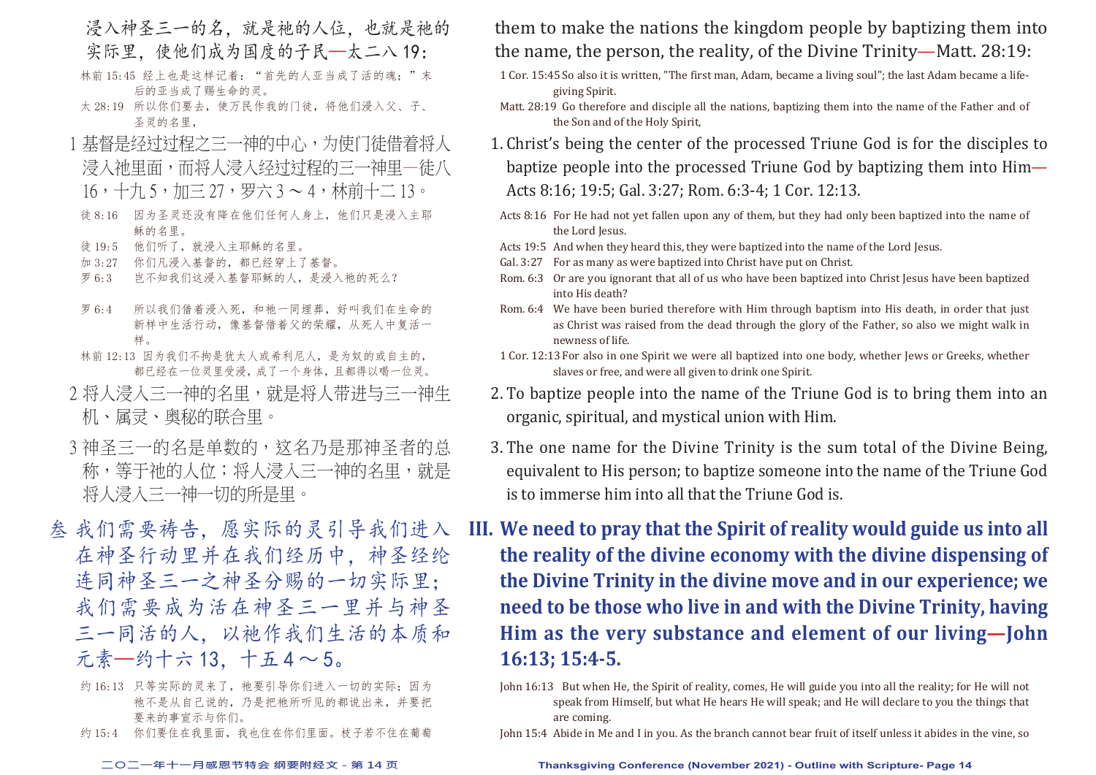- 浸入神圣三一的名,就是祂的人位,也就是祂的 实际里,使他们成为国度的子民—太二八19:
- 林前 15:45 经上也是这样记着: "首先的人亚当成了活的魂;"末 后的亚当成了赐生命的灵。
- 太 28:19 所以你们要去,使万民作我的门徒,将他们浸入父、子、 圣灵的名里,
- 1 基督是经过过程之三一神的中心,为使门徒借着将人 浸入祂里面,而将人浸入经过过程的三一神里—徒八 16,十九 5,加三 27,罗六 3 ~ 4,林前十二 13。
- 徒 8:16 因为圣灵还没有降在他们任何人身上,他们只是浸入主耶 稣的名里。
- 徒 19:5 他们听了,就浸入主耶稣的名里。
- 加 3:27 你们凡浸入基督的,都已经穿上了基督。
- 罗 6:3 岂不知我们这浸入基督耶稣的人,是浸入祂的死么?
- 罗 6:4 所以我们借着浸入死,和祂一同埋葬,好叫我们在生命的 新样中生活行动,像基督借着父的荣耀,从死人中复活一 样。
- 林前 12:13 因为我们不拘是犹太人或希利尼人,是为奴的或自主的, 都已经在一位灵里受浸,成了一个身体,且都得以喝一位灵。
- 2 将人浸入三一神的名里,就是将人带进与三一神生 机、属灵、奥秘的联合里。
- 3 神圣三一的名是单数的,这名乃是那神圣者的总 称,等于祂的人位;将人浸入三一神的名里,就是 将人浸入三一神一切的所是里。
- 叁 我们需要祷告,愿实际的灵引导我们进入 在神圣行动里并在我们经历中,神圣经纶 连同神圣三一之神圣分赐的一切实际里; 我们需要成为活在神圣三一里并与神圣 三一同活的人,以祂作我们生活的本质和 元素—约十六 13,十五 4 ~ 5。
	- 约 16:13 只等实际的灵来了, 祂要引导你们进入一切的实际; 因为 祂不是从自己说的,乃是把祂所听见的都说出来,并要把 要来的事宣示与你们。
	- 约 15:4 你们要住在我里面,我也住在你们里面。枝子若不住在葡萄

## them to make the nations the kingdom people by baptizing them into the name, the person, the reality, of the Divine Trinity—Matt. 28:19:

- 1 Cor. 15:45 So also it is written, "The first man, Adam, became a living soul"; the last Adam became a lifegiving Spirit.
- Matt. 28:19 Go therefore and disciple all the nations, baptizing them into the name of the Father and of the Son and of the Holy Spirit,
- 1. Christ's being the center of the processed Triune God is for the disciples to baptize people into the processed Triune God by baptizing them into Him— Acts 8:16; 19:5; Gal. 3:27; Rom. 6:3-4; 1 Cor. 12:13.
- Acts 8:16 For He had not yet fallen upon any of them, but they had only been baptized into the name of the Lord Jesus.
- Acts 19:5 And when they heard this, they were baptized into the name of the Lord Jesus.
- Gal. 3:27 For as many as were baptized into Christ have put on Christ.
- Rom. 6:3 Or are you ignorant that all of us who have been baptized into Christ Jesus have been baptized into His death?
- Rom. 6:4 We have been buried therefore with Him through baptism into His death, in order that just as Christ was raised from the dead through the glory of the Father, so also we might walk in newness of life.
- 1 Cor. 12:13 For also in one Spirit we were all baptized into one body, whether Jews or Greeks, whether slaves or free, and were all given to drink one Spirit.
- 2. To baptize people into the name of the Triune God is to bring them into an organic, spiritual, and mystical union with Him.
- 3. The one name for the Divine Trinity is the sum total of the Divine Being, equivalent to His person; to baptize someone into the name of the Triune God is to immerse him into all that the Triune God is.
- **III. We need to pray that the Spirit of reality would guide us into all the reality of the divine economy with the divine dispensing of the Divine Trinity in the divine move and in our experience; we need to be those who live in and with the Divine Trinity, having Him as the very substance and element of our living—John 16:13; 15:4-5.**
	- John 16:13 But when He, the Spirit of reality, comes, He will guide you into all the reality; for He will not speak from Himself, but what He hears He will speak; and He will declare to you the things that are coming.
	- John 15:4 Abide in Me and I in you. As the branch cannot bear fruit of itself unless it abides in the vine, so